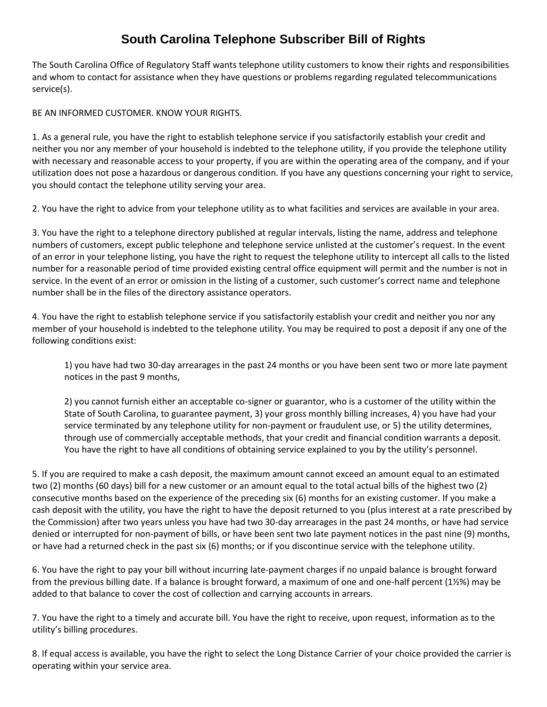## **South Carolina Telephone Subscriber Bill of Rights**

The South Carolina Office of Regulatory Staff wants telephone utility customers to know their rights and responsibilities and whom to contact for assistance when they have questions or problems regarding regulated telecommunications service(s).

BE AN INFORMED CUSTOMER. KNOW YOUR RIGHTS.

1. As a general rule, you have the right to establish telephone service if you satisfactorily establish your credit and neither you nor any member of your household is indebted to the telephone utility, if you provide the telephone utility with necessary and reasonable access to your property, if you are within the operating area of the company, and if your utilization does not pose a hazardous or dangerous condition. If you have any questions concerning your right to service, you should contact the telephone utility serving your area.

2. You have the right to advice from your telephone utility as to what facilities and services are available in your area.

3. You have the right to a telephone directory published at regular intervals, listing the name, address and telephone numbers of customers, except public telephone and telephone service unlisted at the customer's request. In the event of an error in your telephone listing, you have the right to request the telephone utility to intercept all calls to the listed number for a reasonable period of time provided existing central office equipment will permit and the number is not in service. In the event of an error or omission in the listing of a customer, such customer's correct name and telephone number shall be in the files of the directory assistance operators.

4. You have the right to establish telephone service if you satisfactorily establish your credit and neither you nor any member of your household is indebted to the telephone utility. You may be required to post a deposit if any one of the following conditions exist:

1) you have had two 30-day arrearages in the past 24 months or you have been sent two or more late payment notices in the past 9 months,

2) you cannot furnish either an acceptable co-signer or guarantor, who is a customer of the utility within the State of South Carolina, to guarantee payment, 3) your gross monthly billing increases, 4) you have had your service terminated by any telephone utility for non-payment or fraudulent use, or 5) the utility determines, through use of commercially acceptable methods, that your credit and financial condition warrants a deposit. You have the right to have all conditions of obtaining service explained to you by the utility's personnel.

5. If you are required to make a cash deposit, the maximum amount cannot exceed an amount equal to an estimated two (2) months (60 days) bill for a new customer or an amount equal to the total actual bills of the highest two (2) consecutive months based on the experience of the preceding six (6) months for an existing customer. If you make a cash deposit with the utility, you have the right to have the deposit returned to you (plus interest at a rate prescribed by the Commission) after two years unless you have had two 30-day arrearages in the past 24 months, or have had service denied or interrupted for non-payment of bills, or have been sent two late payment notices in the past nine (9) months, or have had a returned check in the past six (6) months; or if you discontinue service with the telephone utility.

6. You have the right to pay your bill without incurring late-payment charges if no unpaid balance is brought forward from the previous billing date. If a balance is brought forward, a maximum of one and one-half percent (1½%) may be added to that balance to cover the cost of collection and carrying accounts in arrears.

7. You have the right to a timely and accurate bill. You have the right to receive, upon request, information as to the utility's billing procedures.

8. If equal access is available, you have the right to select the Long Distance Carrier of your choice provided the carrier is operating within your service area.